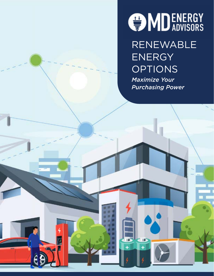

RENEWABLE ENERGY OPTIONS

*Maximize Your Purchasing Power*

π ш ш

иø.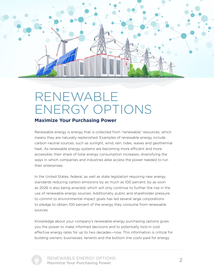

## RENEWABLE ENERGY OPTIONS

#### **Maximize Your Purchasing Power**

Renewable energy is energy that is collected from "renewable" resources, which means they are naturally replenished. Examples of renewable energy include carbon neutral sources, such as sunlight, wind, rain, tides, waves and geothermal heat. As renewable energy systems are becoming more efficient and more accessible, their share of total energy consumption increases, diversifying the ways in which companies and industries alike access the power needed to run their enterprises.

In the United States, federal, as well as state legislation requiring new energy standards reducing carbon emissions by as much as 100 percent, by as soon as 2026 is also being enacted, which will only continue to further the rise in the use of renewable energy sources. Additionally, public and shareholder pressure to commit to environmental impact goals has led several large corporations to pledge to obtain 100 percent of the energy they consume from renewable sources.

Knowledge about your company's renewable energy purchasing options gives you the power to make informed decisions and to potentially lock-in cost effective energy rates for up to two decades—now. This information is critical for building owners, businesses, tenants and the bottom line costs paid for energy.



RENEWABLE ENERGY OPTIONS Maximize Your Purchasing Power <sup>2</sup>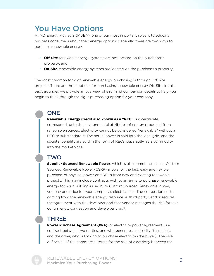### You Have Options

At MD Energy Advisors (MDEA), one of our most important roles is to educate business consumers about their energy options. Generally, there are two ways to purchase renewable energy:

- **Off-Site** renewable energy systems are not located on the purchaser's property; and
- **On-Site** renewable energy systems are located on the purchaser's property.

The most common form of renewable energy purchasing is through Off-Site projects. There are three options for purchasing renewable energy Off-Site. In this backgrounder, we provide an overview of each and comparison details to help you begin to think through the right purchasing option for your company.

#### **ONE**

**Renewable Energy Credit also known as a "REC"** is a certificate corresponding to the environmental attributes of energy produced from renewable sources. Electricity cannot be considered "renewable" without a REC to substantiate it. The actual power is sold into the local grid, and the societal benefits are sold in the form of RECs, separately, as a commodity into the marketplace.

#### **TWO**

**Supplier Sourced Renewable Power**, which is also sometimes called Custom Sourced Renewable Power (CSRP) allows for the fast, easy and flexible purchase of physical power and RECs from new and existing renewable projects. This may include contracts with solar farms to purchase renewable energy for your building's use. With Custom Sourced Renewable Power, you pay one price for your company's electric, including congestion costs coming from the renewable energy resource. A third-party vendor secures the agreement with the developer and that vendor manages the risk for unit contingency, congestion and developer credit.

#### THREE

**Power Purchase Agreement (PPA)**, or electricity power agreement, is a contract between two parties, one who generates electricity (the seller), and the other, who is looking to purchase electricity (the buyer). The PPA defines all of the commercial terms for the sale of electricity between the

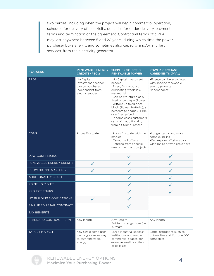two parties, including when the project will begin commercial operation, schedule for delivery of electricity, penalties for under delivery, payment terms and termination of the agreement. Contractual terms of a PPA may last anywhere between 5 and 20 years, during which time the power purchaser buys energy, and sometimes also capacity and/or ancillary services, from the electricity generator.

| <b>FEATURES</b>            | <b>RENEWABLE ENERGY</b><br><b>CREDITS (RECs)</b>                                            | <b>SUPPLIER SOURCED</b><br><b>RENEWABLE POWER</b>                                                                                                                                                                                                                                                                                                   | <b>POWER PURCHASE</b><br><b>AGREEMENTS (PPAs)</b>                                                        |
|----------------------------|---------------------------------------------------------------------------------------------|-----------------------------------------------------------------------------------------------------------------------------------------------------------------------------------------------------------------------------------------------------------------------------------------------------------------------------------------------------|----------------------------------------------------------------------------------------------------------|
| <b>PROS</b>                | No Capital<br>investment needed:<br>can be purchased<br>independent from<br>electric supply | .No Capital investment<br>needed<br>·Fixed, firm product,<br>eliminating wholesale<br>market risk<br>•Can be structured as a<br>fixed price shape (Power<br>Portfolio), a fixed price<br>block (Power Portfolio), a<br>percentage hedge (LFBI),<br>or a fixed priced<br>·In some cases customers<br>can claim additionality<br>from a CSRP purchase | •Energy can be associated<br>with specific renewable<br>energy projects<br>·Independent                  |
| <b>CONS</b>                | Prices Fluctuate                                                                            | . Prices fluctuate with the<br>market<br>•Cannot sell offsets<br>•Sourced from specific<br>new or merchant projects                                                                                                                                                                                                                                 | •Longer terms and more<br>complex billing<br>•Can expose offtakers to a<br>wide range of wholesale risks |
| <b>LOW-COST PRICING</b>    |                                                                                             |                                                                                                                                                                                                                                                                                                                                                     |                                                                                                          |
| RENEWABLE ENERGY CREDITS   |                                                                                             |                                                                                                                                                                                                                                                                                                                                                     |                                                                                                          |
| PROMOTION/MARKETING        |                                                                                             |                                                                                                                                                                                                                                                                                                                                                     |                                                                                                          |
| <b>ADDITIONALITY CLAIM</b> |                                                                                             |                                                                                                                                                                                                                                                                                                                                                     |                                                                                                          |
| POINTING RIGHTS            |                                                                                             |                                                                                                                                                                                                                                                                                                                                                     |                                                                                                          |
| PROJECT TOURS              |                                                                                             |                                                                                                                                                                                                                                                                                                                                                     |                                                                                                          |
| NO BUILDING MODIFICATIONS  |                                                                                             |                                                                                                                                                                                                                                                                                                                                                     |                                                                                                          |
| SIMPLIFIED RETAIL CONTRACT |                                                                                             |                                                                                                                                                                                                                                                                                                                                                     |                                                                                                          |
| <b>TAX BENEFITS</b>        |                                                                                             |                                                                                                                                                                                                                                                                                                                                                     |                                                                                                          |
| STANDARD CONTRACT TERM     | Any length                                                                                  | Any Length<br>But terms range from 5 -<br>10 years                                                                                                                                                                                                                                                                                                  | Any length                                                                                               |
| <b>TARGET MARKET</b>       | Any size electric user<br>wanting a simple way<br>to buy renewable<br>energy                | Large industrial spaces/<br>institutions and medium<br>commercial spaces, for<br>example small hospitals<br>or colleges                                                                                                                                                                                                                             | Large institutions such as<br>universities and Fortune 500<br>companies                                  |

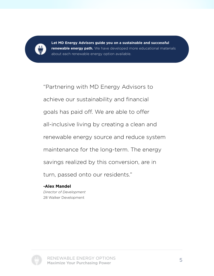

**Let MD Energy Advisors guide you on a sustainable and successful renewable energy path.** We have developed more educational materials about each renewable energy option available.

"Partnering with MD Energy Advisors to achieve our sustainability and financial goals has paid off. We are able to offer all-inclusive living by creating a clean and renewable energy source and reduce system maintenance for the long-term. The energy savings realized by this conversion, are in turn, passed onto our residents."

**-Alex Mandel** *Director of Development* 28 Walker Development